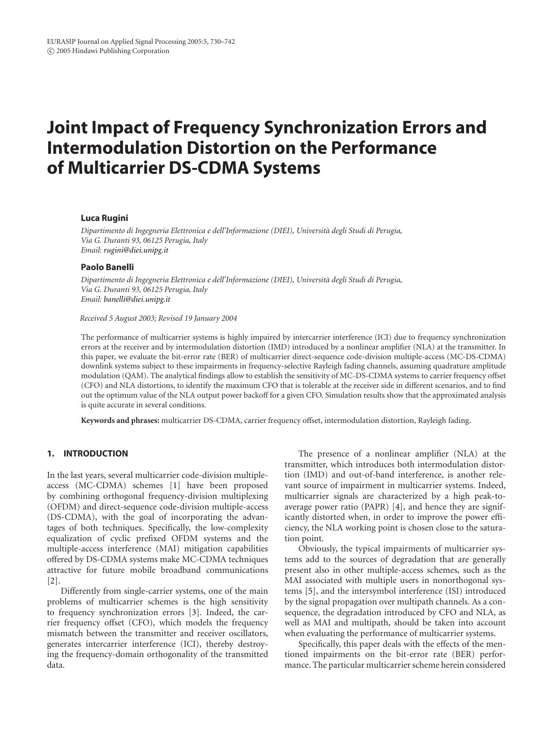# **Joint Impact of Frequency Synchronization Errors and Intermodulation Distortion on the Performance of Multicarrier DS-CDMA Systems**

# **Luca Rugini**

*Dipartimento di Ingegneria Elettronica e dell'Informazione (DIEI), Universita degli Studi di Perugia, ` Via G. Duranti 93, 06125 Perugia, Italy Email: [rugini@diei.unipg.it](mailto:rugini@diei.unipg.it)*

## **Paolo Banelli**

*Dipartimento di Ingegneria Elettronica e dell'Informazione (DIEI), Universita degli Studi di Perugia, ` Via G. Duranti 93, 06125 Perugia, Italy Email: [banelli@diei.unipg.it](mailto:banelli@diei.unipg.it)*

#### *Received 5 August 2003; Revised 19 January 2004*

The performance of multicarrier systems is highly impaired by intercarrier interference (ICI) due to frequency synchronization errors at the receiver and by intermodulation distortion (IMD) introduced by a nonlinear amplifier (NLA) at the transmitter. In this paper, we evaluate the bit-error rate (BER) of multicarrier direct-sequence code-division multiple-access (MC-DS-CDMA) downlink systems subject to these impairments in frequency-selective Rayleigh fading channels, assuming quadrature amplitude modulation (QAM). The analytical findings allow to establish the sensitivity of MC-DS-CDMA systems to carrier frequency offset (CFO) and NLA distortions, to identify the maximum CFO that is tolerable at the receiver side in different scenarios, and to find out the optimum value of the NLA output power backoff for a given CFO. Simulation results show that the approximated analysis is quite accurate in several conditions.

**Keywords and phrases:** multicarrier DS-CDMA, carrier frequency offset, intermodulation distortion, Rayleigh fading.

# **1. INTRODUCTION**

In the last years, several multicarrier code-division multipleaccess (MC-CDMA) schemes [\[1](#page-11-0)] have been proposed by combining orthogonal frequency-division multiplexing (OFDM) and direct-sequence code-division multiple-access (DS-CDMA), with the goal of incorporating the advantages of both techniques. Specifically, the low-complexity equalization of cyclic prefixed OFDM systems and the multiple-access interference (MAI) mitigation capabilities offered by DS-CDMA systems make MC-CDMA techniques attractive for future mobile broadband communications [\[2](#page-11-1)].

Differently from single-carrier systems, one of the main problems of multicarrier schemes is the high sensitivity to frequency synchronization errors [\[3](#page-11-2)]. Indeed, the carrier frequency offset (CFO), which models the frequency mismatch between the transmitter and receiver oscillators, generates intercarrier interference (ICI), thereby destroying the frequency-domain orthogonality of the transmitted data.

The presence of a nonlinear amplifier (NLA) at the transmitter, which introduces both intermodulation distortion (IMD) and out-of-band interference, is another relevant source of impairment in multicarrier systems. Indeed, multicarrier signals are characterized by a high peak-toaverage power ratio (PAPR) [\[4\]](#page-11-3), and hence they are significantly distorted when, in order to improve the power efficiency, the NLA working point is chosen close to the saturation point.

Obviously, the typical impairments of multicarrier systems add to the sources of degradation that are generally present also in other multiple-access schemes, such as the MAI associated with multiple users in nonorthogonal systems [\[5](#page-11-4)], and the intersymbol interference (ISI) introduced by the signal propagation over multipath channels. As a consequence, the degradation introduced by CFO and NLA, as well as MAI and multipath, should be taken into account when evaluating the performance of multicarrier systems.

Specifically, this paper deals with the effects of the mentioned impairments on the bit-error rate (BER) performance. The particular multicarrier scheme herein considered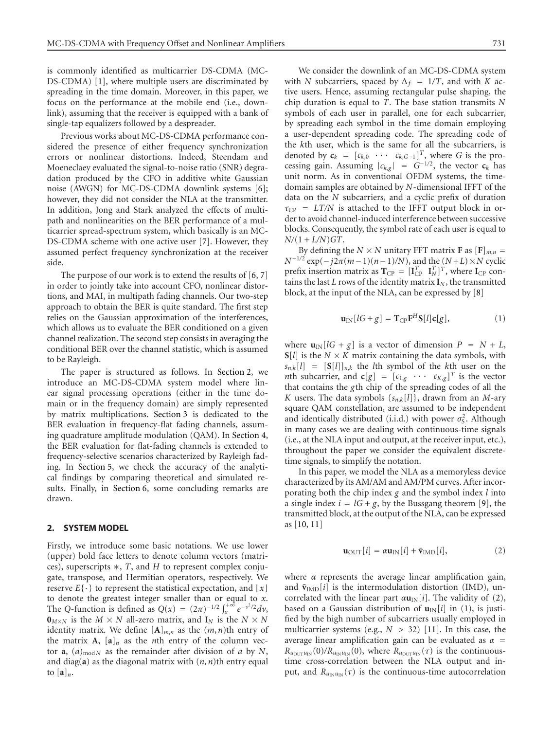is commonly identified as multicarrier DS-CDMA (MC-DS-CDMA) [\[1](#page-11-0)], where multiple users are discriminated by spreading in the time domain. Moreover, in this paper, we focus on the performance at the mobile end (i.e., downlink), assuming that the receiver is equipped with a bank of single-tap equalizers followed by a despreader.

Previous works about MC-DS-CDMA performance considered the presence of either frequency synchronization errors or nonlinear distortions. Indeed, Steendam and Moeneclaey evaluated the signal-to-noise ratio (SNR) degradation produced by the CFO in additive white Gaussian noise (AWGN) for MC-DS-CDMA downlink systems [\[6\]](#page-11-5); however, they did not consider the NLA at the transmitter. In addition, Jong and Stark analyzed the effects of multipath and nonlinearities on the BER performance of a multicarrier spread-spectrum system, which basically is an MC-DS-CDMA scheme with one active user [\[7](#page-11-6)]. However, they assumed perfect frequency synchronization at the receiver side.

The purpose of our work is to extend the results of [\[6,](#page-11-5) [7](#page-11-6)] in order to jointly take into account CFO, nonlinear distortions, and MAI, in multipath fading channels. Our two-step approach to obtain the BER is quite standard. The first step relies on the Gaussian approximation of the interferences, which allows us to evaluate the BER conditioned on a given channel realization. The second step consists in averaging the conditional BER over the channel statistic, which is assumed to be Rayleigh.

The paper is structured as follows. In [Section 2,](#page-1-0) we introduce an MC-DS-CDMA system model where linear signal processing operations (either in the time domain or in the frequency domain) are simply represented by matrix multiplications. [Section 3](#page-4-0) is dedicated to the BER evaluation in frequency-flat fading channels, assuming quadrature amplitude modulation (QAM). In [Section 4,](#page-6-0) the BER evaluation for flat-fading channels is extended to frequency-selective scenarios characterized by Rayleigh fading. In [Section 5,](#page-8-0) we check the accuracy of the analytical findings by comparing theoretical and simulated results. Finally, in [Section 6,](#page-11-7) some concluding remarks are drawn.

## <span id="page-1-0"></span>**2. SYSTEM MODEL**

Firstly, we introduce some basic notations. We use lower (upper) bold face letters to denote column vectors (matrices), superscripts ∗, *T*, and *H* to represent complex conjugate, transpose, and Hermitian operators, respectively. We reserve  $E\{\cdot\}$  to represent the statistical expectation, and  $\lfloor x \rfloor$ to denote the greatest integer smaller than or equal to *x*. The *Q*-function is defined as  $Q(x) = (2\pi)^{-1/2} \int_{x}^{+\infty} e^{-y^2/2} dy$ ,  $\mathbf{0}_{M \times N}$  is the  $M \times N$  all-zero matrix, and  $\mathbf{I}_N$  is the  $N \times N$ identity matrix. We define  $[A]_{m,n}$  as the  $(m, n)$ th entry of the matrix **A**,  $[a]_n$  as the *n*th entry of the column vector **a**,  $(a)_{\text{mod }N}$  as the remainder after division of a by N, and diag(**a**) as the diagonal matrix with (*n*, *n*)th entry equal to  $[a]_n$ .

We consider the downlink of an MC-DS-CDMA system with *N* subcarriers, spaced by  $\Delta_f = 1/T$ , and with *K* active users. Hence, assuming rectangular pulse shaping, the chip duration is equal to *T*. The base station transmits *N* symbols of each user in parallel, one for each subcarrier, by spreading each symbol in the time domain employing a user-dependent spreading code. The spreading code of the *k*th user, which is the same for all the subcarriers, is denoted by  $\mathbf{c}_k = [c_{k,0} \cdots c_{k,G-1}]^T$ , where *G* is the processing gain. Assuming  $|c_{k,g}| = G^{-1/2}$ , the vector **c**<sub>*k*</sub> has unit norm. As in conventional OFDM systems, the timedomain samples are obtained by *N*-dimensional IFFT of the data on the *N* subcarriers, and a cyclic prefix of duration  $τ<sub>CP</sub> = LT/N$  is attached to the IFFT output block in order to avoid channel-induced interference between successive blocks. Consequently, the symbol rate of each user is equal to  $N/(1 + L/N)GT$ .

By defining the  $N \times N$  unitary FFT matrix **F** as  $[F]_{m,n}$  =  $N^{-1/2}$  exp( $-j2\pi(m-1)(n-1)/N$ ), and the ( $N+L$ ) × *N* cyclic prefix insertion matrix as  $T_{CP} = [\mathbf{I}_{CP}^T \ \mathbf{I}_N^T]^T$ , where  $\mathbf{I}_{CP}$  contains the last *L* rows of the identity matrix  $\mathbf{I}_N$ , the transmitted block, at the input of the NLA, can be expressed by [\[8\]](#page-12-0)

<span id="page-1-2"></span>
$$
\mathbf{u}_{\text{IN}}[lG+g] = \mathbf{T}_{\text{CP}} \mathbf{F}^H \mathbf{S}[l] \mathbf{c}[g],\tag{1}
$$

where  $\mathbf{u}_{\text{IN}}[lG + g]$  is a vector of dimension  $P = N + L$ ,  $S[l]$  is the *N* × *K* matrix containing the data symbols, with  $s_{n,k}[l] = [\mathbf{S}[l]]_{n,k}$  the *l*th symbol of the *k*th user on the *n*th subcarrier, and **c**[*g*] =  $[c_{1,g} \cdots c_{K,g}]^{T}$  is the vector that contains the *g*th chip of the spreading codes of all the *K* users. The data symbols  $\{s_{n,k}[l]\}$ , drawn from an *M*-ary square QAM constellation, are assumed to be independent and identically distributed (i.i.d.) with power *σ*<sup>2</sup>, Although in many cases we are dealing with continuous-time signals (i.e., at the NLA input and output, at the receiver input, etc.), throughout the paper we consider the equivalent discretetime signals, to simplify the notation.

<span id="page-1-1"></span>In this paper, we model the NLA as a memoryless device characterized by its AM/AM and AM/PM curves. After incorporating both the chip index *g* and the symbol index *l* into a single index  $i = lG + g$ , by the Bussgang theorem [\[9\]](#page-12-1), the transmitted block, at the output of the NLA, can be expressed as [\[10](#page-12-2), [11\]](#page-12-3)

$$
\mathbf{u}_{\text{OUT}}[i] = \alpha \mathbf{u}_{\text{IN}}[i] + \bar{\mathbf{v}}_{\text{IMD}}[i],\tag{2}
$$

where *α* represents the average linear amplification gain, and  $\bar{v}_{\text{IMD}}[i]$  is the intermodulation distortion (IMD), uncorrelated with the linear part  $\alpha$ **u**<sub>IN</sub>[*i*]. The validity of [\(2\)](#page-1-1), based on a Gaussian distribution of  $\mathbf{u}_{\text{IN}}[i]$  in [\(1\)](#page-1-2), is justified by the high number of subcarriers usually employed in multicarrier systems (e.g.,  $N > 32$ ) [\[11](#page-12-3)]. In this case, the average linear amplification gain can be evaluated as  $\alpha$  =  $R_{u_{\text{OUT}}u_{\text{IN}}}(0)/R_{u_{\text{IN}}u_{\text{IN}}}(0)$ , where  $R_{u_{\text{OUT}}u_{\text{IN}}}(\tau)$  is the continuoustime cross-correlation between the NLA output and input, and  $R_{u_{\text{IN}}u_{\text{IN}}}(\tau)$  is the continuous-time autocorrelation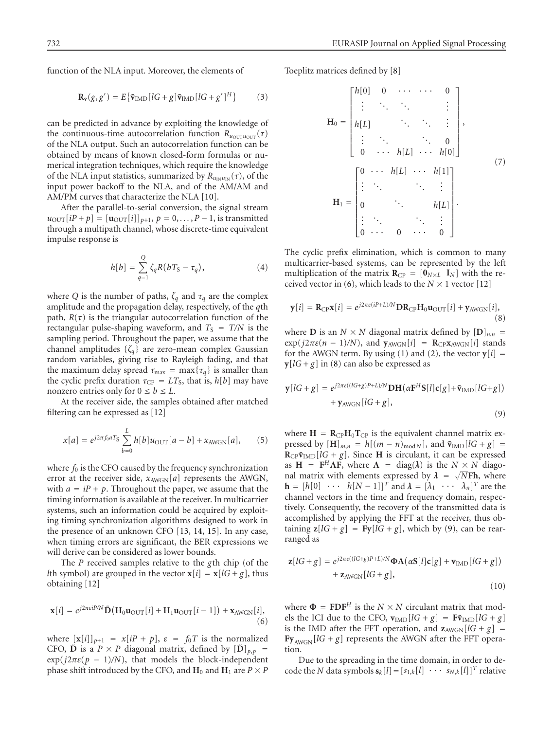function of the NLA input. Moreover, the elements of

$$
\mathbf{R}_{\bar{\mathbf{v}}}(g, g') = E\{\bar{\mathbf{v}}_{\text{IMD}}[lG + g]\bar{\mathbf{v}}_{\text{IMD}}[lG + g']^H\} \tag{3}
$$

can be predicted in advance by exploiting the knowledge of the continuous-time autocorrelation function  $R_{u_{\text{OUT}}}u_{\text{OUT}}(\tau)$ of the NLA output. Such an autocorrelation function can be obtained by means of known closed-form formulas or numerical integration techniques, which require the knowledge of the NLA input statistics, summarized by  $R_{u_{IN}u_{IN}}(\tau)$ , of the input power backoff to the NLA, and of the AM/AM and AM/PM curves that characterize the NLA [\[10\]](#page-12-2).

After the parallel-to-serial conversion, the signal stream  $u_{\text{OUT}}[iP + p] = [\mathbf{u}_{\text{OUT}}[i]]_{p+1}, p = 0, \ldots, P - 1$ , is transmitted through a multipath channel, whose discrete-time equivalent impulse response is

$$
h[b] = \sum_{q=1}^{Q} \zeta_q R (bT_S - \tau_q), \tag{4}
$$

where *Q* is the number of paths,  $\zeta_q$  and  $\tau_q$  are the complex amplitude and the propagation delay, respectively, of the *q*th path,  $R(\tau)$  is the triangular autocorrelation function of the rectangular pulse-shaping waveform, and  $T<sub>S</sub> = T/N$  is the sampling period. Throughout the paper, we assume that the channel amplitudes  $\{\zeta_q\}$  are zero-mean complex Gaussian random variables, giving rise to Rayleigh fading, and that the maximum delay spread  $\tau_{\text{max}} = \max{\lbrace \tau_a \rbrace}$  is smaller than the cyclic prefix duration  $\tau_{CP} = LT_S$ , that is,  $h[b]$  may have nonzero entries only for  $0 \le b \le L$ .

At the receiver side, the samples obtained after matched filtering can be expressed as [\[12\]](#page-12-4)

$$
x[a] = e^{j2\pi f_0 a T_{\rm S}} \sum_{b=0}^{L} h[b] u_{\rm OUT}[a-b] + x_{\rm AWGN}[a], \qquad (5)
$$

where  $f_0$  is the CFO caused by the frequency synchronization error at the receiver side,  $x_{AWGN}[a]$  represents the AWGN, with  $a = iP + p$ . Throughout the paper, we assume that the timing information is available at the receiver. In multicarrier systems, such an information could be acquired by exploiting timing synchronization algorithms designed to work in the presence of an unknown CFO [\[13,](#page-12-5) [14,](#page-12-6) [15\]](#page-12-7). In any case, when timing errors are significant, the BER expressions we will derive can be considered as lower bounds.

<span id="page-2-0"></span>The *P* received samples relative to the *g*th chip (of the *l*th symbol) are grouped in the vector  $\mathbf{x}[i] = \mathbf{x}[lG + g]$ , thus obtaining [\[12\]](#page-12-4)

$$
\mathbf{x}[i] = e^{j2\pi\epsilon iPM} \tilde{\mathbf{D}} (\mathbf{H}_0 \mathbf{u}_{\text{OUT}}[i] + \mathbf{H}_1 \mathbf{u}_{\text{OUT}}[i-1]) + \mathbf{x}_{\text{AWGN}}[i],\tag{6}
$$

where  $[\mathbf{x}[i]]_{p+1} = x[iP + p], \varepsilon = f_0T$  is the normalized CFO,  $\hat{\mathbf{D}}$  is a  $P \times P$  diagonal matrix, defined by  $[\hat{\mathbf{D}}]_{p,p}$  =  $\exp(j2\pi\varepsilon(p-1)/N)$ , that models the block-independent phase shift introduced by the CFO, and  $H_0$  and  $H_1$  are  $P \times P$  <span id="page-2-4"></span>Toeplitz matrices defined by [\[8\]](#page-12-0)

$$
\mathbf{H}_0 = \begin{bmatrix} h[0] & 0 & \cdots & \cdots & 0 \\ \vdots & \ddots & \ddots & & \vdots \\ h[L] & & \ddots & \ddots & \vdots \\ \vdots & & \ddots & \ddots & 0 \\ 0 & \cdots & h[L] & \cdots & h[0] \end{bmatrix},
$$
\n
$$
\mathbf{H}_1 = \begin{bmatrix} 0 & \cdots & h[L] & \cdots & h[1] \\ \vdots & \ddots & & \ddots & \vdots \\ 0 & & \cdots & & h[L] \\ \vdots & & \ddots & & \vdots \\ 0 & \cdots & 0 & \cdots & 0 \end{bmatrix}.
$$
\n(7)

The cyclic prefix elimination, which is common to many multicarrier-based systems, can be represented by the left multiplication of the matrix  $\mathbf{R}_{\text{CP}} = [\mathbf{0}_{N \times L} \ \mathbf{I}_{N}]$  with the re-ceived vector in [\(6\)](#page-2-0), which leads to the  $N \times 1$  vector [\[12](#page-12-4)]

<span id="page-2-1"></span>
$$
\mathbf{y}[i] = \mathbf{R}_{\text{CP}}\mathbf{x}[i] = e^{j2\pi\epsilon(i\text{P}+L)/N}\mathbf{D}\mathbf{R}_{\text{CP}}\mathbf{H}_0\mathbf{u}_{\text{OUT}}[i] + \mathbf{y}_{\text{AWGN}}[i],\tag{8}
$$

<span id="page-2-2"></span>where **D** is an  $N \times N$  diagonal matrix defined by  $[D]_{n,n}$  =  $\exp(j2\pi\varepsilon(n-1)/N)$ , and  $y_{AWGN}[i] = \mathbf{R}_{CP}x_{AWGN}[i]$  stands for the AWGN term. By using [\(1\)](#page-1-2) and [\(2\)](#page-1-1), the vector  $y[i]$  =  $y[ lG + g ]$  in [\(8\)](#page-2-1) can also be expressed as

$$
\mathbf{y}[IG+g] = e^{j2\pi\epsilon((IG+g)P+L)/N} \mathbf{DH}(\alpha \mathbf{F}^H \mathbf{S}[l] \mathbf{c}[g] + \tilde{\mathbf{v}}_{\text{IMD}}[IG+g]) + \mathbf{y}_{\text{AWGN}}[IG+g],
$$
\n(9)

where  $H = R_{CP}H_0T_{CP}$  is the equivalent channel matrix expressed by  $[\mathbf{H}]_{m,n} = h[(m - n)_{\text{mod }N}]$ , and  $\tilde{\mathbf{v}}_{\text{IMD}}[lG + g] =$  $R_{CP} \bar{v}_{\text{IMD}}[lG + g]$ . Since **H** is circulant, it can be expressed as  $H = F^H \Lambda F$ , where  $\Lambda = \text{diag}(\lambda)$  is the  $N \times N$  diagoas  $\mathbf{h} = \mathbf{r} \cdot \mathbf{\Lambda} \mathbf{r}$ , where  $\mathbf{\Lambda} = \text{diag}(\lambda)$  is the  $N \times N$  diagonal matrix with elements expressed by  $\lambda = \sqrt{N} \mathbf{F} \mathbf{h}$ , where  $\mathbf{h} = [h[0] \cdots h[N-1]]^T$  and  $\lambda = [\lambda_1 \cdots \lambda_n]^T$  are the channel vectors in the time and frequency domain, respectively. Consequently, the recovery of the transmitted data is accomplished by applying the FFT at the receiver, thus obtaining  $z[lG + g] = Fy[lG + g]$ , which by [\(9\)](#page-2-2), can be rearranged as

<span id="page-2-3"></span>
$$
\mathbf{z}[lG+g] = e^{j2\pi\epsilon((lG+g)P+L)/N}\Phi\Lambda(\alpha\mathbf{S}[l]\mathbf{c}[g] + \mathbf{v}_{\text{IMD}}[lG+g])
$$
  
+  $\mathbf{z}_{\text{AWGN}}[lG+g],$  (10)

where  $\Phi$  = **FDF**<sup>*H*</sup> is the *N* × *N* circulant matrix that models the ICI due to the CFO,  $\mathbf{v}_{\text{IMD}}[lG + g] = \mathbf{F}\tilde{\mathbf{v}}_{\text{IMD}}[lG + g]$ is the IMD after the FFT operation, and  $z_{AWGN}[lG + g]$  =  $\mathbf{Fy}_{\text{AWGN}}[lG + g]$  represents the AWGN after the FFT operation.

Due to the spreading in the time domain, in order to decode the *N* data symbols  $\mathbf{s}_k[l] = [s_{1,k}[l] \cdots s_{N,k}[l]]^T$  relative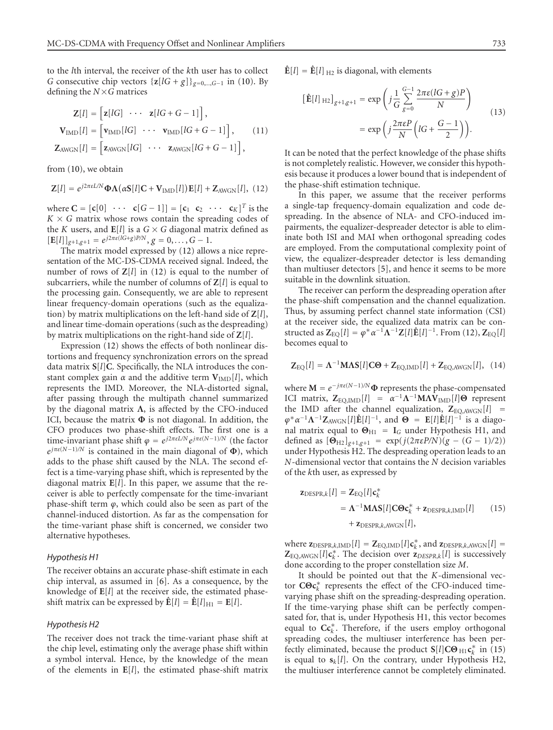to the *l*th interval, the receiver of the *k*th user has to collect *G* consecutive chip vectors  $\{z[lG + g]\}_{g=0,\dots,G-1}$  in [\(10\)](#page-2-3). By defining the  $N \times G$  matrices

$$
\mathbf{Z}[l] = \begin{bmatrix} \mathbf{z}[lG] & \cdots & \mathbf{z}[lG+G-1] \end{bmatrix},
$$
\n
$$
\mathbf{V}_{\text{IMD}}[l] = \begin{bmatrix} \mathbf{v}_{\text{IMD}}[lG] & \cdots & \mathbf{v}_{\text{IMD}}[lG+G-1] \end{bmatrix}, \qquad (11)
$$
\n
$$
\mathbf{Z}_{\text{AWGN}}[l] = \begin{bmatrix} \mathbf{z}_{\text{AWGN}}[lG] & \cdots & \mathbf{z}_{\text{AWGN}}[lG+G-1] \end{bmatrix},
$$

<span id="page-3-0"></span>from [\(10\)](#page-2-3), we obtain

$$
\mathbf{Z}[l] = e^{j2\pi\epsilon L/N} \mathbf{\Phi} \Lambda(\alpha \mathbf{S}[l] \mathbf{C} + \mathbf{V}_{\text{IMD}}[l]) \mathbf{E}[l] + \mathbf{Z}_{\text{AWGN}}[l], (12)
$$

where  $\mathbf{C} = [\mathbf{c}[0] \cdots \mathbf{c}[G-1]] = [\mathbf{c}_1 \ \mathbf{c}_2 \cdots \mathbf{c}_K]^T$  is the  $K \times G$  matrix whose rows contain the spreading codes of the *K* users, and  $\mathbf{E}[l]$  is a  $G \times G$  diagonal matrix defined as  $[\mathbf{E}[l]]_{g+1,g+1} = e^{j2\pi\epsilon(lG+g)P/N}, g = 0, \ldots, G-1.$ 

The matrix model expressed by [\(12\)](#page-3-0) allows a nice representation of the MC-DS-CDMA received signal. Indeed, the number of rows of **Z**[*l*] in [\(12\)](#page-3-0) is equal to the number of subcarriers, while the number of columns of **Z**[*l*] is equal to the processing gain. Consequently, we are able to represent linear frequency-domain operations (such as the equalization) by matrix multiplications on the left-hand side of **Z**[*l*], and linear time-domain operations (such as the despreading) by matrix multiplications on the right-hand side of **Z**[*l*].

Expression [\(12\)](#page-3-0) shows the effects of both nonlinear distortions and frequency synchronization errors on the spread data matrix **S**[*l*]**C**. Specifically, the NLA introduces the constant complex gain  $\alpha$  and the additive term  $V_{\text{IMD}}[l]$ , which represents the IMD. Moreover, the NLA-distorted signal, after passing through the multipath channel summarized by the diagonal matrix **Λ**, is affected by the CFO-induced ICI, because the matrix **Φ** is not diagonal. In addition, the CFO produces two phase-shift effects. The first one is a time-invariant phase shift  $\varphi = e^{j2\pi \varepsilon L/N} e^{j\pi \varepsilon (N-1)/N}$  (the factor  $e^{j\pi\varepsilon(N-1)/N}$  is contained in the main diagonal of  $\Phi$ ), which adds to the phase shift caused by the NLA. The second effect is a time-varying phase shift, which is represented by the diagonal matrix **E**[*l*]. In this paper, we assume that the receiver is able to perfectly compensate for the time-invariant phase-shift term *ϕ*, which could also be seen as part of the channel-induced distortion. As far as the compensation for the time-variant phase shift is concerned, we consider two alternative hypotheses.

## *Hypothesis H1*

The receiver obtains an accurate phase-shift estimate in each chip interval, as assumed in [\[6\]](#page-11-5). As a consequence, by the knowledge of **E**[*l*] at the receiver side, the estimated phaseshift matrix can be expressed by  $\mathbf{\hat{E}}[l] = \mathbf{\hat{E}}[l]_{\text{H1}} = \mathbf{E}[l]$ .

#### *Hypothesis H2*

The receiver does not track the time-variant phase shift at the chip level, estimating only the average phase shift within a symbol interval. Hence, by the knowledge of the mean of the elements in **E**[*l*], the estimated phase-shift matrix  $\hat{\mathbf{E}}[l] = \hat{\mathbf{E}}[l]_{\text{H2}}$  is diagonal, with elements

$$
\begin{aligned} \left[\hat{\mathbf{E}}[l]_{\text{ H2}}\right]_{g+1,g+1} &= \exp\left(j\frac{1}{G}\sum_{g=0}^{G-1}\frac{2\pi\epsilon(lG+g)P}{N}\right) \\ &= \exp\left(j\frac{2\pi\epsilon P}{N}\left(lG+\frac{G-1}{2}\right)\right). \end{aligned} \tag{13}
$$

It can be noted that the perfect knowledge of the phase shifts is not completely realistic. However, we consider this hypothesis because it produces a lower bound that is independent of the phase-shift estimation technique.

In this paper, we assume that the receiver performs a single-tap frequency-domain equalization and code despreading. In the absence of NLA- and CFO-induced impairments, the equalizer-despreader detector is able to eliminate both ISI and MAI when orthogonal spreading codes are employed. From the computational complexity point of view, the equalizer-despreader detector is less demanding than multiuser detectors [\[5](#page-11-4)], and hence it seems to be more suitable in the downlink situation.

The receiver can perform the despreading operation after the phase-shift compensation and the channel equalization. Thus, by assuming perfect channel state information (CSI) at the receiver side, the equalized data matrix can be constructed as  $\mathbf{Z}_{\text{EQ}}[l] = \varphi^* \alpha^{-1} \Lambda^{-1} \mathbf{Z}[l] \hat{\mathbf{E}}[l]^{-1}$ . From [\(12\)](#page-3-0),  $\mathbf{Z}_{\text{EQ}}[l]$ becomes equal to

$$
\mathbf{Z}_{\text{EQ}}[l] = \mathbf{\Lambda}^{-1} \mathbf{M} \mathbf{\Lambda} \mathbf{S}[l] \mathbf{C} \Theta + \mathbf{Z}_{\text{EQ,IMD}}[l] + \mathbf{Z}_{\text{EQ,AWGN}}[l], \quad (14)
$$

where  $\mathbf{M} = e^{-j\pi\varepsilon(N-1)/N}\mathbf{\Phi}$  represents the phase-compensated ICI matrix,  $\mathbf{Z}_{\text{EQ,IMD}}[l] = \alpha^{-1} \Lambda^{-1} M \Lambda \mathbf{V}_{\text{IMD}}[l] \Theta$  represent the IMD after the channel equalization,  $\mathbb{Z}_{EQ,AWGN}[l]$  =  $\varphi^* \alpha^{-1} \Lambda^{-1} \mathbb{Z}_{\text{AWGN}}[l] \hat{\mathbb{E}}[l]^{-1}$ , and  $\Theta = \mathbb{E}[l] \hat{\mathbb{E}}[l]^{-1}$  is a diagonal matrix equal to  $\Theta_{H1}$  =  $I_G$  under Hypothesis H1, and defined as  $[\Theta_{H2}]_{g+1,g+1} = \exp(j(2\pi\varepsilon P/N)(g - (G - 1)/2))$ under Hypothesis H2. The despreading operation leads to an *N*-dimensional vector that contains the *N* decision variables of the *k*th user, as expressed by

<span id="page-3-1"></span>
$$
\mathbf{z}_{\text{DESPR},k}[l] = \mathbf{Z}_{\text{EQ}}[l] \mathbf{c}_{k}^{*}
$$
  
=  $\mathbf{\Lambda}^{-1} \mathbf{M} \mathbf{\Lambda} \mathbf{S}[l] \mathbf{C} \mathbf{\Theta} \mathbf{c}_{k}^{*} + \mathbf{z}_{\text{DESPR},k,\text{IMD}}[l]$  (15)  
+  $\mathbf{z}_{\text{DESPR},k,\text{AWGN}}[l],$ 

where  $\mathbf{z}_{\text{DESPR},k,\text{IMD}}[l] = \mathbf{Z}_{\text{EQ},\text{IMD}}[l] \mathbf{c}_k^*$ , and  $\mathbf{z}_{\text{DESPR},k,\text{AWGN}}[l] =$  $\mathbf{Z}_{\text{EQ,AWGN}}[l]\mathbf{c}_k^*$ . The decision over  $\mathbf{z}_{DESPR,k}[l]$  is successively done according to the proper constellation size *M*.

It should be pointed out that the *K*-dimensional vector **CΘc**<sup>∗</sup> *<sup>k</sup>* represents the effect of the CFO-induced timevarying phase shift on the spreading-despreading operation. If the time-varying phase shift can be perfectly compensated for, that is, under Hypothesis H1, this vector becomes equal to **Cc**<sup>∗</sup> *<sup>k</sup>* . Therefore, if the users employ orthogonal spreading codes, the multiuser interference has been perfectly eliminated, because the product  $S[l]CO_{H1}c_k^*$  in [\(15\)](#page-3-1) is equal to  $s_k[l]$ . On the contrary, under Hypothesis H2, the multiuser interference cannot be completely eliminated.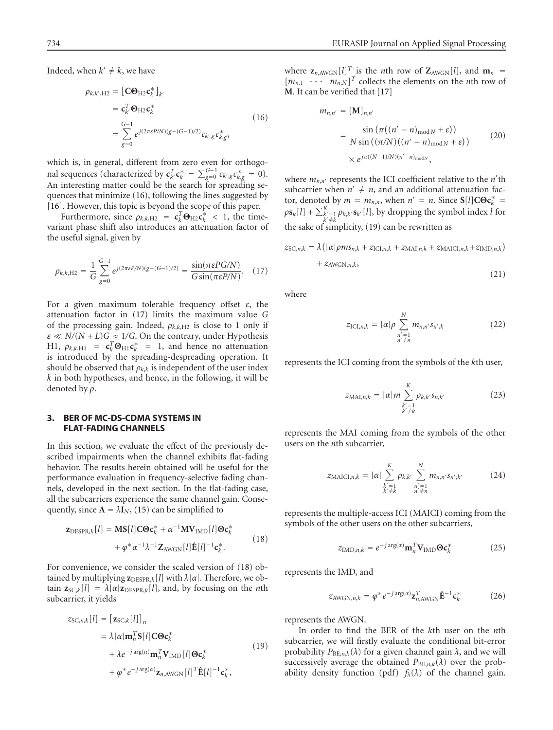Indeed, when  $k' \neq k$ , we have

<span id="page-4-1"></span>
$$
\rho_{k,k',H2} = [\mathbf{C}\mathbf{\Theta}_{H2}\mathbf{c}_{k}^{*}]_{k'}
$$
  
\n
$$
= \mathbf{c}_{k'}^{T}\mathbf{\Theta}_{H2}\mathbf{c}_{k}^{*}
$$
  
\n
$$
= \sum_{g=0}^{G-1} e^{j(2\pi\epsilon P/N)(g-(G-1)/2)} c_{k',g} c_{k,g}^{*},
$$
  
\n(16)

which is, in general, different from zero even for orthogonal sequences (characterized by  $\mathbf{c}_{k'}^T \mathbf{c}_k^* = \sum_{g=0}^{G-1} c_{k',g} c_{k,g}^* = 0$ ). An interesting matter could be the search for spreading sequences that minimize [\(16\)](#page-4-1), following the lines suggested by [\[16](#page-12-8)]. However, this topic is beyond the scope of this paper.

<span id="page-4-2"></span>Furthermore, since  $\rho_{k,k,H2} = c_k^T \Theta_{H2} c_k^* < 1$ , the timevariant phase shift also introduces an attenuation factor of the useful signal, given by

$$
\rho_{k,k,\mathrm{H2}} = \frac{1}{G} \sum_{g=0}^{G-1} e^{j(2\pi\epsilon P/N)(g - (G-1)/2)} = \frac{\sin(\pi\epsilon P G/N)}{G \sin(\pi\epsilon P/N)}.
$$
 (17)

For a given maximum tolerable frequency offset *ε*, the attenuation factor in [\(17\)](#page-4-2) limits the maximum value *G* of the processing gain. Indeed,  $\rho_{k,k,H2}$  is close to 1 only if  $\varepsilon \ll N/(N+L)G \approx 1/G$ . On the contrary, under Hypothesis H1,  $\rho_{k,k,H1} = \mathbf{c}_k^T \mathbf{\Theta}_{H1} \mathbf{c}_k^* = 1$ , and hence no attenuation is introduced by the spreading-despreading operation. It should be observed that  $\rho_{k,k}$  is independent of the user index *k* in both hypotheses, and hence, in the following, it will be denoted by *ρ*.

### <span id="page-4-0"></span>**3. BER OF MC-DS-CDMA SYSTEMS IN FLAT-FADING CHANNELS**

In this section, we evaluate the effect of the previously described impairments when the channel exhibits flat-fading behavior. The results herein obtained will be useful for the performance evaluation in frequency-selective fading channels, developed in the next section. In the flat-fading case, all the subcarriers experience the same channel gain. Consequently, since  $\Lambda = \lambda I_N$ , [\(15\)](#page-3-1) can be simplified to

<span id="page-4-3"></span>
$$
\mathbf{z}_{\text{DESPR},k}[l] = \mathbf{M}\mathbf{S}[l]\mathbf{C}\mathbf{\Theta}\mathbf{c}_{k}^{*} + \alpha^{-1}\mathbf{M}\mathbf{V}_{\text{IMD}}[l]\mathbf{\Theta}\mathbf{c}_{k}^{*} + \varphi^{*}\alpha^{-1}\lambda^{-1}\mathbf{Z}_{\text{AWGN}}[l]\hat{\mathbf{E}}[l]^{-1}\mathbf{c}_{k}^{*}.
$$
\n(18)

For convenience, we consider the scaled version of [\(18\)](#page-4-3) obtained by multiplying  $\mathbf{z}_{\text{DESPR},k}[l]$  with  $\lambda|\alpha|$ . Therefore, we ob $z_{SC,k}[l] = \lambda | \alpha | z_{DESPR,k}[l]$ , and, by focusing on the *n*th subcarrier, it yields

$$
z_{SC,n,k}[l] = [\mathbf{z}_{SC,k}[l]]_n
$$
  
\n
$$
= \lambda |\alpha| \mathbf{m}_n^T \mathbf{S}[l] \mathbf{C} \mathbf{O} \mathbf{c}_k^*
$$
  
\n
$$
+ \lambda e^{-j \arg(\alpha)} \mathbf{m}_n^T \mathbf{V}_{\text{IMD}}[l] \mathbf{O} \mathbf{c}_k^*
$$
  
\n
$$
+ \varphi^* e^{-j \arg(\alpha)} \mathbf{z}_{n,\text{AWGN}}[l]^T \hat{\mathbf{E}}[l]^{-1} \mathbf{c}_k^*,
$$
\n(19)

where  $\mathbf{z}_{n,\text{AWGN}}[l]^T$  is the *n*th row of  $\mathbf{Z}_{\text{AWGN}}[l]$ , and  $\mathbf{m}_n =$  $[m_{n,1} \cdots m_{n,N}]^T$  collects the elements on the *n*th row of **M**. It can be verified that [\[17](#page-12-9)]

$$
m_{n,n'} = [\mathbf{M}]_{n,n'}
$$
  
= 
$$
\frac{\sin (\pi((n'-n)_{\text{mod }N} + \varepsilon))}{N \sin ((\pi/N)((n'-n)_{\text{mod }N} + \varepsilon))}
$$
 (20)  

$$
\times e^{j\pi((N-1)/N)(n'-n)_{\text{mod }N}},
$$

where  $m_{n,n'}$  represents the ICI coefficient relative to the *n'*th subcarrier when  $n' \neq n$ , and an additional attenuation factor, denoted by  $m = m_{n,n}$ , when  $n' = n$ . Since  $S[l]C\Theta c_k^* =$  $p\mathbf{s}_k[l] + \sum_{\substack{k' \neq k}}^K p_{k,k'}\mathbf{s}_{k'}[l]$ , by dropping the symbol index *l* for the sake of simplicity, [\(19\)](#page-4-4) can be rewritten as

<span id="page-4-5"></span>
$$
z_{SC,n,k} = \lambda \left( |\alpha| \rho m s_{n,k} + z_{\text{ICI},n,k} + z_{\text{MAI},n,k} + z_{\text{MALI},n,k} + z_{\text{IMD},n,k} \right) + z_{\text{AWGN},n,k},\tag{21}
$$

<span id="page-4-6"></span>where

<span id="page-4-8"></span>
$$
z_{\text{ICI},n,k} = |\alpha| \rho \sum_{\substack{n'=1\\n' \neq n}}^{N} m_{n,n'} s_{n',k}
$$
 (22)

represents the ICI coming from the symbols of the *k*th user,

$$
z_{\text{MAI},n,k} = |\alpha| m \sum_{\substack{k'=1\\k' \neq k}}^{K} \rho_{k,k'} s_{n,k'}
$$
 (23)

represents the MAI coming from the symbols of the other users on the *n*th subcarrier,

<span id="page-4-7"></span>
$$
z_{\text{MACI},n,k} = |\alpha| \sum_{\substack{k'=1\\k' \neq k}}^{K} \rho_{k,k'} \sum_{\substack{n'=1\\n' \neq n}}^{N} m_{n,n'} s_{n',k'}
$$
 (24)

represents the multiple-access ICI (MAICI) coming from the symbols of the other users on the other subcarriers,

<span id="page-4-9"></span>
$$
z_{\text{IMD},n,k} = e^{-j \arg(\alpha)} \mathbf{m}_n^T \mathbf{V}_{\text{IMD}} \mathbf{\Theta} \mathbf{c}_k^*
$$
 (25)

represents the IMD, and

$$
z_{\text{AWGN},n,k} = \varphi^* e^{-j \arg(\alpha)} \mathbf{z}_{n,\text{AWGN}}^T \hat{\mathbf{E}}^{-1} \mathbf{c}_k^* \tag{26}
$$

represents the AWGN.

<span id="page-4-4"></span>In order to find the BER of the *k*th user on the *n*th subcarrier, we will firstly evaluate the conditional bit-error probability  $P_{BE,n,k}(\lambda)$  for a given channel gain  $\lambda$ , and we will successively average the obtained  $P_{BE,n,k}(\lambda)$  over the probability density function (pdf)  $f_{\lambda}(\lambda)$  of the channel gain.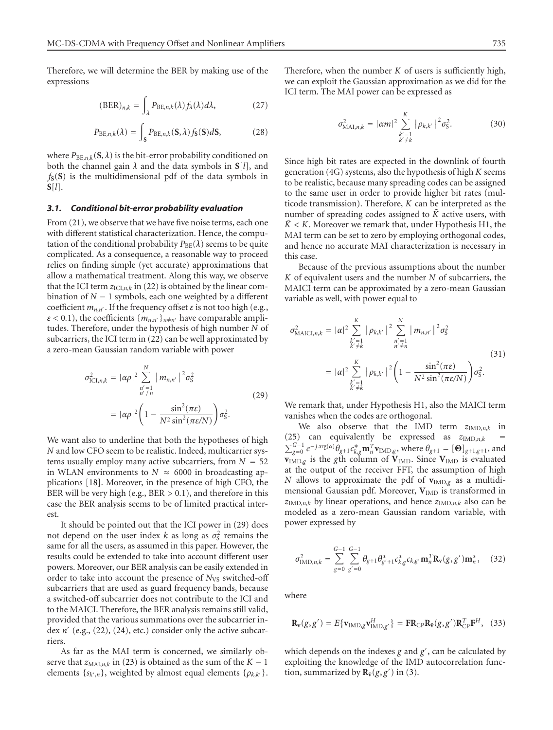Therefore, we will determine the BER by making use of the expressions

<span id="page-5-2"></span><span id="page-5-1"></span>
$$
(\text{BER})_{n,k} = \int_{\lambda} P_{\text{BE},n,k}(\lambda) f_{\lambda}(\lambda) d\lambda, \tag{27}
$$

$$
P_{\text{BE},n,k}(\lambda) = \int_{\mathbf{S}} P_{\text{BE},n,k}(\mathbf{S},\lambda) f_{\mathbf{S}}(\mathbf{S}) d\mathbf{S},\tag{28}
$$

where  $P_{BE,n,k}(\mathbf{S}, \lambda)$  is the bit-error probability conditioned on both the channel gain *λ* and the data symbols in **S**[*l*], and  $f_S(S)$  is the multidimensional pdf of the data symbols in **S**[*l*].

#### *3.1. Conditional bit-error probability evaluation*

From [\(21\)](#page-4-5), we observe that we have five noise terms, each one with different statistical characterization. Hence, the computation of the conditional probability  $P_{BE}(\lambda)$  seems to be quite complicated. As a consequence, a reasonable way to proceed relies on finding simple (yet accurate) approximations that allow a mathematical treatment. Along this way, we observe that the ICI term  $z_{\text{ICL},n,k}$  in [\(22\)](#page-4-6) is obtained by the linear combination of  $N-1$  symbols, each one weighted by a different coefficient  $m_{n,n'}$ . If the frequency offset  $\varepsilon$  is not too high (e.g.,  $\varepsilon$  < 0.1), the coefficients  $\{m_{n,n'}\}_{n\neq n'}$  have comparable amplitudes. Therefore, under the hypothesis of high number *N* of subcarriers, the ICI term in [\(22\)](#page-4-6) can be well approximated by a zero-mean Gaussian random variable with power

<span id="page-5-0"></span>
$$
\sigma_{\text{ICI},n,k}^2 = |\alpha \rho|^2 \sum_{\substack{n'=1 \ n' \neq n}}^N |m_{n,n'}|^2 \sigma_S^2
$$
\n
$$
= |\alpha \rho|^2 \left(1 - \frac{\sin^2(\pi \varepsilon)}{N^2 \sin^2(\pi \varepsilon/N)}\right) \sigma_S^2.
$$
\n(29)

We want also to underline that both the hypotheses of high *N* and low CFO seem to be realistic. Indeed, multicarrier systems usually employ many active subcarriers, from  $N = 52$ in WLAN environments to  $N \approx 6000$  in broadcasting applications [\[18\]](#page-12-10). Moreover, in the presence of high CFO, the BER will be very high (e.g., BER *>* 0*.*1), and therefore in this case the BER analysis seems to be of limited practical interest.

It should be pointed out that the ICI power in [\(29\)](#page-5-0) does not depend on the user index *k* as long as  $\sigma_S^2$  remains the same for all the users, as assumed in this paper. However, the results could be extended to take into account different user powers. Moreover, our BER analysis can be easily extended in order to take into account the presence of *N*<sub>VS</sub> switched-off subcarriers that are used as guard frequency bands, because a switched-off subcarrier does not contribute to the ICI and to the MAICI. Therefore, the BER analysis remains still valid, provided that the various summations over the subcarrier index  $n'$  (e.g.,  $(22)$ ,  $(24)$ , etc.) consider only the active subcarriers.

As far as the MAI term is concerned, we similarly observe that  $z_{\text{MAI},n,k}$  in [\(23\)](#page-4-8) is obtained as the sum of the  $K - 1$ elements { $s_{k',n}$ }, weighted by almost equal elements { $\rho_{k,k'}$ }. Therefore, when the number  $K$  of users is sufficiently high, we can exploit the Gaussian approximation as we did for the ICI term. The MAI power can be expressed as

<span id="page-5-4"></span>
$$
\sigma_{\text{MAI},n,k}^2 = |\alpha m|^2 \sum_{\substack{k'=1\\k'\neq k}}^K |\rho_{k,k'}|^2 \sigma_S^2.
$$
 (30)

Since high bit rates are expected in the downlink of fourth generation (4G) systems, also the hypothesis of high *K* seems to be realistic, because many spreading codes can be assigned to the same user in order to provide higher bit rates (multicode transmission). Therefore, *K* can be interpreted as the number of spreading codes assigned to  $\tilde{K}$  active users, with  $\tilde{K}$  < K. Moreover we remark that, under Hypothesis H1, the MAI term can be set to zero by employing orthogonal codes, and hence no accurate MAI characterization is necessary in this case.

Because of the previous assumptions about the number *K* of equivalent users and the number *N* of subcarriers, the MAICI term can be approximated by a zero-mean Gaussian variable as well, with power equal to

$$
\sigma_{\text{MAICH},n,k}^{2} = |\alpha|^{2} \sum_{\substack{k'=1\\k'\neq k}}^{K} |\rho_{k,k'}|^{2} \sum_{\substack{n'=1\\n'\neq n}}^{N} |m_{n,n'}|^{2} \sigma_{S}^{2}
$$
\n
$$
= |\alpha|^{2} \sum_{\substack{k'=1\\k'\neq k}}^{K} |\rho_{k,k'}|^{2} \left(1 - \frac{\sin^{2}(\pi \varepsilon)}{N^{2} \sin^{2}(\pi \varepsilon/N)}\right) \sigma_{S}^{2}.
$$
\n(31)

We remark that, under Hypothesis H1, also the MAICI term vanishes when the codes are orthogonal.

We also observe that the IMD term  $z_{\text{IMD},n,k}$  in [\(25\)](#page-4-9) can equivalently be expressed as  $z_{\text{IMD},n,k}$  $\sum_{g=0}^{G-1} e^{-j \arg(\alpha)} \theta_{g+1} c^*_{k,g} \mathbf{m}_n^T \mathbf{v}_{\text{IMD},g}$ , where  $\theta_{g+1} = [\mathbf{\Theta}]_{g+1,g+1}$ , and **<sub>IMD,g</sub> is the** *g***th column of**  $**V**$ **<sub>IMD</sub>. Since**  $**V**$ **<sub>IMD</sub> is evaluated** at the output of the receiver FFT, the assumption of high *N* allows to approximate the pdf of  $v_{\text{IMD},g}$  as a multidimensional Gaussian pdf. Moreover, V<sub>IMD</sub> is transformed in  $z_{\text{IMD},n,k}$  by linear operations, and hence  $z_{\text{IMD},n,k}$  also can be modeled as a zero-mean Gaussian random variable, with power expressed by

$$
\sigma_{\text{IMD},n,k}^{2} = \sum_{g=0}^{G-1} \sum_{g'=0}^{G-1} \theta_{g+1} \theta_{g'+1}^{*} c_{k,g}^{*} c_{k,g'} \mathbf{m}_{n}^{T} \mathbf{R}_{\mathbf{v}}(g,g') \mathbf{m}_{n}^{*}, \quad (32)
$$

<span id="page-5-3"></span>where

$$
\mathbf{R}_{\mathbf{v}}(g, g') = E\{\mathbf{v}_{\text{IMD},g}\mathbf{v}_{\text{IMD},g'}^{H}\} = \mathbf{F} \mathbf{R}_{\text{CP}} \mathbf{R}_{\bar{\mathbf{v}}}(g, g') \mathbf{R}_{\text{CP}}^{T} \mathbf{F}^{H}, \quad (33)
$$

which depends on the indexes *g* and *g* , can be calculated by exploiting the knowledge of the IMD autocorrelation function, summarized by  $\mathbf{R}_{\bar{v}}(g, g')$  in [\(3\)](#page-2-4).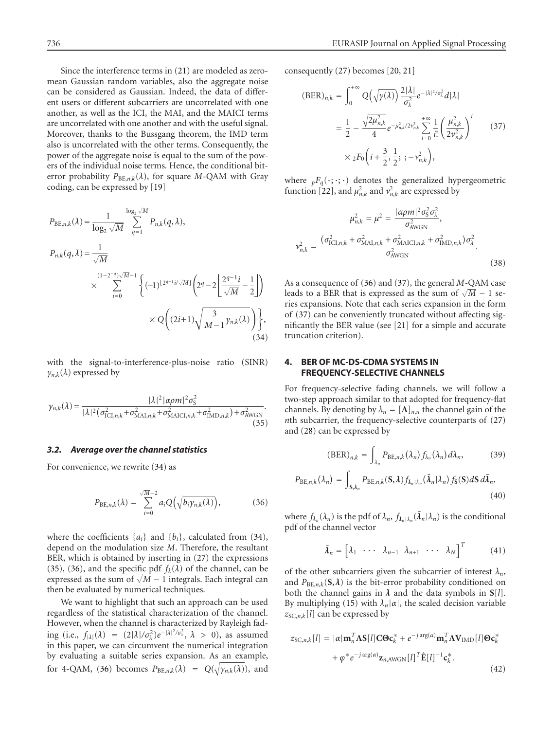Since the interference terms in [\(21\)](#page-4-5) are modeled as zeromean Gaussian random variables, also the aggregate noise can be considered as Gaussian. Indeed, the data of different users or different subcarriers are uncorrelated with one another, as well as the ICI, the MAI, and the MAICI terms are uncorrelated with one another and with the useful signal. Moreover, thanks to the Bussgang theorem, the IMD term also is uncorrelated with the other terms. Consequently, the power of the aggregate noise is equal to the sum of the powers of the individual noise terms. Hence, the conditional biterror probability  $P_{BE,n,k}(\lambda)$ , for square M-QAM with Gray coding, can be expressed by [\[19](#page-12-11)]

$$
P_{BE,n,k}(\lambda) = \frac{1}{\log_2 \sqrt{M}} \sum_{q=1}^{\log_2 \sqrt{M}} P_{n,k}(q,\lambda),
$$
  
\n
$$
P_{n,k}(q,\lambda) = \frac{1}{\sqrt{M}}
$$
  
\n
$$
\times \sum_{i=0}^{(1-2-q)\sqrt{M}-1} \left\{ (-1)^{\lfloor 2^{q-1}i/\sqrt{M} \rfloor} \left( 2^q - 2 \left[ \frac{2^{q-1}i}{\sqrt{M}} - \frac{1}{2} \right] \right) \right\}
$$
  
\n
$$
\times Q\left( (2i+1)\sqrt{\frac{3}{M-1} \gamma_{n,k}(\lambda)} \right) \left\},
$$
  
\n(34)

<span id="page-6-2"></span>with the signal-to-interference-plus-noise ratio (SINR)  $\gamma_{n,k}(\lambda)$  expressed by

$$
\gamma_{n,k}(\lambda) = \frac{|\lambda|^2 |\alpha \rho m|^2 \sigma_S^2}{|\lambda|^2 (\sigma_{\text{ICI},n,k}^2 + \sigma_{\text{MAI},n,k}^2 + \sigma_{\text{MACI},n,k}^2 + \sigma_{\text{IMD},n,k}^2) + \sigma_{\text{AWGN}}^2}.
$$
\n(35)

## *3.2. Average over the channel statistics*

For convenience, we rewrite [\(34\)](#page-6-1) as

<span id="page-6-3"></span>
$$
P_{\mathrm{BE},n,k}(\lambda) = \sum_{i=0}^{\sqrt{M}-2} a_i Q\left(\sqrt{b_i \gamma_{n,k}(\lambda)}\right),\tag{36}
$$

where the coefficients  $\{a_i\}$  and  $\{b_i\}$ , calculated from [\(34\)](#page-6-1), depend on the modulation size *M*. Therefore, the resultant BER, which is obtained by inserting in [\(27\)](#page-5-1) the expressions [\(35\)](#page-6-2), [\(36\)](#page-6-3), and the specific pdf  $f_{\lambda}(\lambda)$  of the channel, can be (35), (36), and the specific par  $f_{\lambda}(\lambda)$  of the channel, can be expressed as the sum of  $\sqrt{M} - 1$  integrals. Each integral can then be evaluated by numerical techniques.

We want to highlight that such an approach can be used regardless of the statistical characterization of the channel. However, when the channel is characterized by Rayleigh fading (i.e.,  $f_{|\lambda|}(\lambda) = (2|\lambda|/\sigma_{\lambda}^2)e^{-|\lambda|^2/\sigma_{\lambda}^2}, \lambda > 0$ ), as assumed in this paper, we can circumvent the numerical integration by evaluating a suitable series expansion. As an example, for 4-QAM, [\(36\)](#page-6-3) becomes  $P_{BE,n,k}(\lambda) = Q(\sqrt{\gamma_{n,k}(\lambda)})$ , and consequently [\(27\)](#page-5-1) becomes [\[20,](#page-12-12) [21](#page-12-13)]

<span id="page-6-4"></span>
$$
(\text{BER})_{n,k} = \int_0^{+\infty} Q\left(\sqrt{\gamma(\lambda)}\right) \frac{2|\lambda|}{\sigma_{\lambda}^2} e^{-|\lambda|^2/\sigma_{\lambda}^2} d|\lambda|
$$
  
=  $\frac{1}{2} - \frac{\sqrt{2\mu_{n,k}^2}}{4} e^{-\mu_{n,k}^2/2\nu_{n,k}^2} \sum_{i=0}^{+\infty} \frac{1}{i!} \left(\frac{\mu_{n,k}^2}{2\nu_{n,k}^2}\right)^i$  (37)  
 $\times {}_2F_0 \left(i + \frac{3}{2}, \frac{1}{2}; ; -\nu_{n,k}^2\right),$ 

where  $pF_q(\cdot; \cdot; \cdot)$  denotes the generalized hypergeometric function [\[22\]](#page-12-14), and  $\mu_{n,k}^2$  and  $\nu_{n,k}^2$  are expressed by

$$
\mu_{n,k}^2 = \mu^2 = \frac{|\alpha \rho m|^2 \sigma_S^2 \sigma_\lambda^2}{\sigma_{\text{AWGN}}^2},
$$

$$
\nu_{n,k}^2 = \frac{(\sigma_{\text{ICL},n,k}^2 + \sigma_{\text{MAI},n,k}^2 + \sigma_{\text{MAICL},n,k}^2 + \sigma_{\text{IMD},n,k}^2)\sigma_\lambda^2}{\sigma_{\text{AWGN}}^2}.
$$
(38)

<span id="page-6-1"></span>As a consequence of [\(36\)](#page-6-3) and [\(37\)](#page-6-4), the general *M*-QAM case As a consequence or (56) and (57), the general *M*-QAM case<br>leads to a BER that is expressed as the sum of √*M* – 1 series expansions. Note that each series expansion in the form of [\(37\)](#page-6-4) can be conveniently truncated without affecting significantly the BER value (see [\[21\]](#page-12-13) for a simple and accurate truncation criterion).

# <span id="page-6-0"></span>**4. BER OF MC-DS-CDMA SYSTEMS IN FREQUENCY-SELECTIVE CHANNELS**

For frequency-selective fading channels, we will follow a two-step approach similar to that adopted for frequency-flat channels. By denoting by  $\lambda_n = [\Lambda]_{n,n}$  the channel gain of the *n*th subcarrier, the frequency-selective counterparts of [\(27\)](#page-5-1) and [\(28\)](#page-5-2) can be expressed by

<span id="page-6-6"></span>
$$
(\text{BER})_{n,k} = \int_{\lambda_n} P_{\text{BE},n,k}(\lambda_n) f_{\lambda_n}(\lambda_n) d\lambda_n, \tag{39}
$$

$$
P_{\text{BE},n,k}(\lambda_n) = \int_{\mathbf{S},\bar{\lambda}_n} P_{\text{BE},n,k}(\mathbf{S},\lambda) f_{\bar{\lambda}_n|\lambda_n}(\bar{\lambda}_n|\lambda_n) f_{\mathbf{S}}(\mathbf{S}) d\mathbf{S} d\bar{\lambda}_n,
$$
\n(40)

where  $f_{\lambda_n}(\lambda_n)$  is the pdf of  $\lambda_n$ ,  $f_{\bar{\lambda}_n|\lambda_n}(\bar{\lambda}_n|\lambda_n)$  is the conditional pdf of the channel vector

$$
\bar{\boldsymbol{\lambda}}_n = \begin{bmatrix} \lambda_1 & \cdots & \lambda_{n-1} & \lambda_{n+1} & \cdots & \lambda_N \end{bmatrix}^T \tag{41}
$$

of the other subcarriers given the subcarrier of interest  $\lambda_n$ , and  $P_{BE,n,k}(S,\lambda)$  is the bit-error probability conditioned on both the channel gains in *λ* and the data symbols in **S**[*l*]. By multiplying [\(15\)](#page-3-1) with  $\lambda_n|\alpha|$ , the scaled decision variable  $z_{SC,n,k}[l]$  can be expressed by

<span id="page-6-5"></span>
$$
z_{\text{SC},n,k}[l] = |\alpha| \mathbf{m}_n^T \mathbf{\Lambda} \mathbf{S}[l] \mathbf{C} \mathbf{\Theta} \mathbf{c}_k^* + e^{-j \arg(\alpha)} \mathbf{m}_n^T \mathbf{\Lambda} \mathbf{V}_{\text{IMD}}[l] \mathbf{\Theta} \mathbf{c}_k^*
$$
  
+  $\varphi^* e^{-j \arg(\alpha)} \mathbf{z}_{n,\text{AWGN}}[l]^T \hat{\mathbf{E}}[l]^{-1} \mathbf{c}_k^*.$  (42)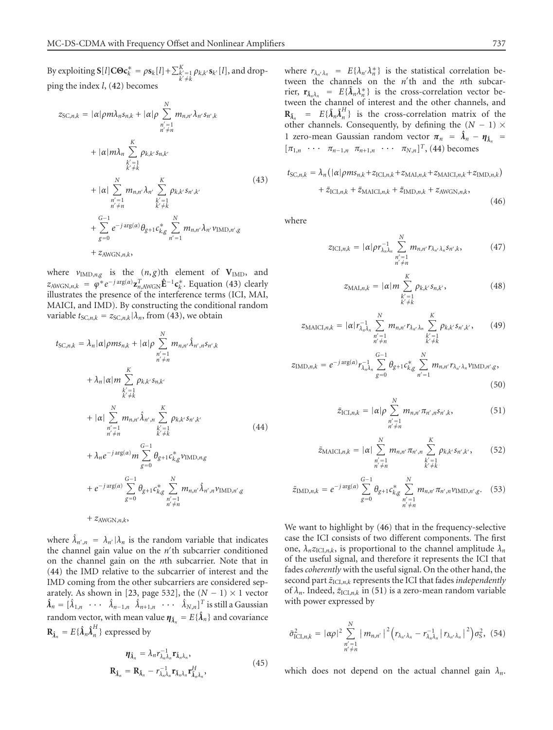<span id="page-7-0"></span>By exploiting  $S[l]C\Theta c_k^* = \rho s_k[l] + \sum_{\substack{k'=1 \ k \neq k}}^K \rho_{k,k'} s_{k'}[l]$ , and dropping the index *l*, [\(42\)](#page-6-5) becomes

$$
z_{SC,n,k} = |\alpha|\rho m\lambda_n s_{n,k} + |\alpha|\rho \sum_{\substack{n'=1\\n' \neq n}}^N m_{n,n'}\lambda_{n'} s_{n',k}
$$
  
+  $|\alpha|m\lambda_n \sum_{\substack{k'=1\\k' \neq k}}^K \rho_{k,k'} s_{n,k'}$   
+  $|\alpha| \sum_{\substack{n'=1\\n' \neq n}}^N m_{n,n'}\lambda_{n'} \sum_{\substack{k'=1\\k' \neq k}}^K \rho_{k,k'} s_{n',k'}$   
+  $\sum_{\substack{n'=1\\g=0}}^{G-1} e^{-j \arg(\alpha)} \theta_{g+1} c_{k,g}^* \sum_{\substack{n'=1\\n'=1}}^N m_{n,n'}\lambda_{n'} v_{\text{IMD},n',g}$   
+  $z_{\text{AWGN},n,k}$ , (43)

where  $v_{\text{IMD},n,g}$  is the  $(n,g)$ th element of  $V_{\text{IMD}}$ , and  $z_{\text{AWGN},n,k} = \varphi^* e^{-j \arg(\alpha)} \mathbf{z}_{n,\text{AWGN}}^T \hat{\mathbf{E}}^{-1} \mathbf{c}_k^*$ . Equation [\(43\)](#page-7-0) clearly illustrates the presence of the interference terms (ICI, MAI, MAICI, and IMD). By constructing the conditional random variable  $t_{SC,n,k} = z_{SC,n,k} | \lambda_n$ , from [\(43\)](#page-7-0), we obtain

<span id="page-7-1"></span>
$$
t_{SC,n,k} = \lambda_n |\alpha| \rho m s_{n,k} + |\alpha| \rho \sum_{\substack{n'=1\\n' \neq n}}^N m_{n,n'} \hat{\lambda}_{n',n} s_{n',k}
$$
  
+  $\lambda_n |\alpha| m \sum_{\substack{k'=1\\k' \neq k}}^K \rho_{k,k'} s_{n,k'}$   
+  $|\alpha| \sum_{\substack{n'=1\\n' \neq n}}^N m_{n,n'} \hat{\lambda}_{n',n} \sum_{\substack{k'=1\\k' \neq k}}^K \rho_{k,k'} s_{n',k'}$   
+  $\lambda_n e^{-j \arg(\alpha)} m \sum_{g=0}^{G-1} \theta_{g+1} c_{k,g}^* v_{\text{IMD},n,g}$   
+  $e^{-j \arg(\alpha)} \sum_{g=0}^{G-1} \theta_{g+1} c_{k,g}^* \sum_{m,n,n'} \hat{\lambda}_{n',n} v_{\text{IMD},n',g}$ 

+ 
$$
e^{-j \arg(\alpha)} \sum_{g=0} \theta_{g+1} c^*_{k,g} \sum_{\substack{n'=1 \ n' \neq n}} m_{n,n'} \hat{\lambda}_{n',n} \nu_{\text{IMD},n',g}
$$
  
+  $z_{\text{AWGN},n,k}$ ,

where  $\hat{\lambda}_{n',n} = \lambda_{n'} |\lambda_n$  is the random variable that indicates the channel gain value on the *n'*th subcarrier conditioned on the channel gain on the *n*th subcarrier. Note that in [\(44\)](#page-7-1) the IMD relative to the subcarrier of interest and the IMD coming from the other subcarriers are considered sep-arately. As shown in [\[23,](#page-12-15) page 532], the  $(N - 1) \times 1$  vector  $\hat{\lambda}_n = [\hat{\lambda}_{1,n} \quad \cdots \quad \hat{\lambda}_{n-1,n} \quad \hat{\lambda}_{n+1,n} \quad \cdots \quad \hat{\lambda}_{N,n}]^T$  is still a Gaussian random vector, with mean value  $\boldsymbol{\eta}_{\hat{\lambda}_n} = E\{\hat{\lambda}_n\}$  and covariance  $\mathbf{R}_{\hat{\pmb{\lambda}}_n} = E\{\hat{\pmb{\lambda}}_n\hat{\pmb{\lambda}}_n^H\}$  expressed by

$$
\eta_{\hat{\lambda}_n} = \lambda_n r_{\lambda_n \lambda_n}^{-1} \mathbf{r}_{\bar{\lambda}_n \lambda_n},
$$
  
\n
$$
\mathbf{R}_{\hat{\lambda}_n} = \mathbf{R}_{\bar{\lambda}_n} - r_{\lambda_n \lambda_n}^{-1} \mathbf{r}_{\bar{\lambda}_n \lambda_n} \mathbf{r}_{\bar{\lambda}_n \lambda_n}^H,
$$
\n(45)

where  $r_{\lambda_{n'}\lambda_n} = E\{\lambda_{n'}\lambda_n^*\}$  is the statistical correlation between the channels on the *n'*th and the *n*th subcarrier,  $\mathbf{r}_{\bar{\lambda}_n \lambda_n} = E\{\bar{\lambda}_n \lambda_n^*\}$  is the cross-correlation vector between the channel of interest and the other channels, and  $\mathbf{R}_{\bar{\lambda}_n} = E\{\bar{\lambda}_n \bar{\lambda}_n^H\}$  is the cross-correlation matrix of the other channels. Consequently, by defining the  $(N - 1)$  × 1 zero-mean Gaussian random vector  $\pi_n = \hat{\lambda}_n - \eta_{\hat{\lambda}_n}$  $[\pi_{1,n} \cdots \pi_{n-1,n} \pi_{n+1,n} \cdots \pi_{N,n}]^T$ , [\(44\)](#page-7-1) becomes

<span id="page-7-2"></span>
$$
t_{\text{SC},n,k} = \lambda_n \left( |\alpha| \rho m s_{n,k} + z_{\text{ICI},n,k} + z_{\text{MAI},n,k} + z_{\text{MAICI},n,k} + z_{\text{IMD},n,k} \right) + \tilde{z}_{\text{ICI},n,k} + \tilde{z}_{\text{MAICI},n,k} + \tilde{z}_{\text{IMD},n,k} + z_{\text{AWGN},n,k},
$$
\n(46)

where

$$
z_{\text{ICI},n,k} = |\alpha| \rho r_{\lambda_n \lambda_n}^{-1} \sum_{\substack{n'=1\\n' \neq n}}^N m_{n,n'} r_{\lambda_{n'} \lambda_n} s_{n',k}, \qquad (47)
$$

$$
z_{\text{MAI},n,k} = |\alpha| m \sum_{\substack{k'=1\\k'\neq k}}^{K} \rho_{k,k'} s_{n,k'}, \qquad (48)
$$

$$
z_{\text{MAICI},n,k} = |\alpha| r_{\lambda_n \lambda_n}^{-1} \sum_{\substack{n'=1 \\ n' \neq n}}^N m_{n,n'} r_{\lambda_{n'} \lambda_n} \sum_{\substack{k'=1 \\ k' \neq k}}^K \rho_{k,k'} s_{n',k'},
$$
 (49)

$$
z_{\text{IMD},n,k} = e^{-j \arg(\alpha)} r_{\lambda_n \lambda_n}^{-1} \sum_{g=0}^{G-1} \theta_{g+1} c_{k,g}^* \sum_{n'=1}^N m_{n,n'} r_{\lambda_{n'} \lambda_n} \nu_{\text{IMD},n',g},
$$
\n(50)

<span id="page-7-3"></span>
$$
\tilde{z}_{\text{ICI},n,k} = |\alpha| \rho \sum_{\substack{n'=1\\n'\neq n}}^N m_{n,n'} \pi_{n',n} s_{n',k}, \qquad (51)
$$

$$
\tilde{z}_{\text{MAICI},n,k} = |\alpha| \sum_{\substack{n'=1\\n \neq n}}^{N} m_{n,n'} \pi_{n',n} \sum_{\substack{k'=1\\k' \neq k}}^{K} \rho_{k,k'} s_{n',k'}, \qquad (52)
$$

$$
\tilde{z}_{\text{IMD},n,k} = e^{-j \arg(\alpha)} \sum_{g=0}^{G-1} \theta_{g+1} c^*_{k,g} \sum_{\substack{n'=1 \ n' \neq n}}^{N} m_{n,n'} \pi_{n',n} \nu_{\text{IMD},n',g}.
$$
 (53)

We want to highlight by [\(46\)](#page-7-2) that in the frequency-selective case the ICI consists of two different components. The first one,  $\lambda_n z_{\text{ICI},n,k}$ , is proportional to the channel amplitude  $\lambda_n$ of the useful signal, and therefore it represents the ICI that fades *coherently* with the useful signal. On the other hand, the second part  $\tilde{z}_{\text{ICI},n,k}$  represents the ICI that fades *independently* of  $\lambda_n$ . Indeed,  $\tilde{z}_{\text{ICI},n,k}$  in [\(51\)](#page-7-3) is a zero-mean random variable with power expressed by

<span id="page-7-4"></span>
$$
\tilde{\sigma}_{\text{ICI},n,k}^2 = |\alpha \rho|^2 \sum_{\substack{n'=1\\ n' \neq n}}^N |m_{n,n'}|^2 (r_{\lambda_{n'} \lambda_n} - r_{\lambda_n \lambda_n}^{-1} |r_{\lambda_{n'} \lambda_n}|^2) \sigma_S^2, (54)
$$

which does not depend on the actual channel gain  $\lambda_n$ .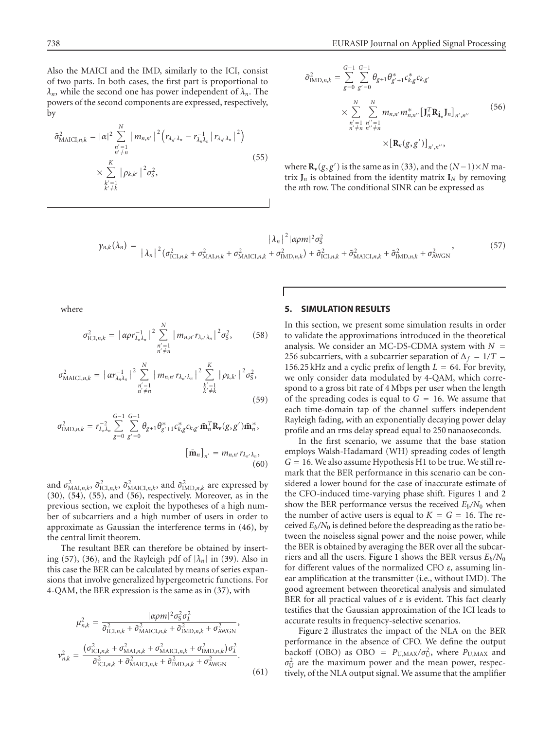Also the MAICI and the IMD, similarly to the ICI, consist of two parts. In both cases, the first part is proportional to  $\lambda_n$ , while the second one has power independent of  $\lambda_n$ . The powers of the second components are expressed, respectively, by

<span id="page-8-3"></span>
$$
\tilde{\sigma}_{\text{MAICI},n,k}^{2} = |\alpha|^{2} \sum_{\substack{n'=1\\n' \neq n}}^{N} |m_{n,n'}|^{2} \left(r_{\lambda_{n'}\lambda_{n}} - r_{\lambda_{n}\lambda_{n}}^{-1} |r_{\lambda_{n'}\lambda_{n}}|^{2}\right)
$$
\n
$$
\times \sum_{\substack{k'=1\\k' \neq k}}^{K} |\rho_{k,k'}|^{2} \sigma_{\mathcal{S}}^{2},
$$
\n(55)

<span id="page-8-2"></span>
$$
\tilde{\sigma}_{\text{IMD},n,k}^{2} = \sum_{g=0}^{G-1} \sum_{g'=0}^{G-1} \theta_{g+1} \theta_{g'+1}^{*} c_{k,g}^{*} c_{k,g'}
$$
\n
$$
\times \sum_{\substack{n'=1 \ n' \neq n}}^{N} \sum_{\substack{n''=1 \ n' \neq n}}^{N} m_{n,n'} m_{n,n'}^{*} \left[ \mathbf{J}_{n}^{T} \mathbf{R}_{\hat{\lambda}_{n}} \mathbf{J}_{n} \right]_{n',n'}
$$
\n
$$
\times \left[ \mathbf{R}_{\mathbf{v}}(g,g') \right]_{n',n''},
$$
\n(56)

<span id="page-8-1"></span>where  $\mathbf{R}_{\mathbf{v}}(g, g')$  is the same as in [\(33\)](#page-5-3), and the  $(N-1) \times N$  matrix  $J_n$  is obtained from the identity matrix  $I_N$  by removing the *n*th row. The conditional SINR can be expressed as

$$
\gamma_{n,k}(\lambda_n) = \frac{|\lambda_n|^2 |\alpha \rho m|^2 \sigma_S^2}{|\lambda_n|^2 (\sigma_{\text{ICI},n,k}^2 + \sigma_{\text{MAI},n,k}^2 + \sigma_{\text{MAICI},n,k}^2 + \sigma_{\text{IMD},n,k}^2) + \tilde{\sigma}_{\text{ICI},n,k}^2 + \tilde{\sigma}_{\text{MAICI},n,k}^2 + \tilde{\sigma}_{\text{IMD},n,k}^2 + \sigma_{\text{AWGN}}^2},\tag{57}
$$

where

$$
\sigma_{\text{ICI},n,k}^{2} = \left| \alpha \rho r_{\lambda_{n} \lambda_{n}}^{-1} \right|^{2} \sum_{\substack{n'=1 \\ n' \neq n}}^{N} \left| m_{n,n'} r_{\lambda_{n'} \lambda_{n}} \right|^{2} \sigma_{\mathcal{S}}^{2}, \qquad (58)
$$

$$
\sigma_{\text{MACI},n,k}^{2} = \left| \alpha r_{\lambda_{n}\lambda_{n}}^{-1} \right|^{2} \sum_{\substack{n'=1\\n' \neq n}}^{N} \left| m_{n,n'} r_{\lambda_{n'}\lambda_{n}} \right|^{2} \sum_{\substack{k'=1\\k' \neq k}}^{K} \left| \rho_{k,k'} \right|^{2} \sigma_{\text{S}}^{2}, \tag{59}
$$

$$
\sigma_{\text{IMD},n,k}^{2} = r_{\lambda_{n}\lambda_{n}}^{-2} \sum_{g=0}^{G-1} \sum_{g'=0}^{G-1} \theta_{g+1} \theta_{g'+1}^{*} c_{k,g}^{*} c_{k,g'} \bar{\mathbf{m}}_{n}^{T} \mathbf{R}_{\mathbf{v}}(g,g') \bar{\mathbf{m}}_{n}^{*},
$$

$$
\left[\bar{\mathbf{m}}_{n}\right]_{n'} = m_{n,n'} r_{\lambda_{n'}\lambda_{n}},
$$
\n(60)

and  $\sigma_{\text{MAI},n,k}^2$ ,  $\tilde{\sigma}_{\text{ICI},n,k}^2$ ,  $\tilde{\sigma}_{\text{MAICI},n,k}^2$ , and  $\tilde{\sigma}_{\text{IMD},n,k}^2$  are expressed by [\(30\)](#page-5-4), [\(54\)](#page-7-4), [\(55\)](#page-8-1), and [\(56\)](#page-8-2), respectively. Moreover, as in the previous section, we exploit the hypotheses of a high number of subcarriers and a high number of users in order to approximate as Gaussian the interference terms in [\(46\)](#page-7-2), by the central limit theorem.

The resultant BER can therefore be obtained by insert-ing [\(57\)](#page-8-3), [\(36\)](#page-6-3), and the Rayleigh pdf of  $|\lambda_n|$  in [\(39\)](#page-6-6). Also in this case the BER can be calculated by means of series expansions that involve generalized hypergeometric functions. For 4-QAM, the BER expression is the same as in [\(37\)](#page-6-4), with

$$
\mu_{n,k}^{2} = \frac{|\alpha \rho m|^{2} \sigma_{S}^{2} \sigma_{A}^{2}}{\tilde{\sigma}_{\text{ICI},n,k}^{2} + \tilde{\sigma}_{\text{MAICI},n,k}^{2} + \tilde{\sigma}_{\text{IMD},n,k}^{2} + \sigma_{\text{AWGN}}^{2}},
$$
\n
$$
\nu_{n,k}^{2} = \frac{(\sigma_{\text{ICI},n,k}^{2} + \sigma_{\text{MAICI},n,k}^{2} + \sigma_{\text{MAICI},n,k}^{2} + \sigma_{\text{IMD},n,k}^{2}) \sigma_{\lambda}^{2}}{\tilde{\sigma}_{\text{ICI},n,k}^{2} + \tilde{\sigma}_{\text{MAICI},n,k}^{2} + \tilde{\sigma}_{\text{IMD},n,k}^{2} + \sigma_{\text{AWGN}}^{2}}.
$$
\n(61)

# <span id="page-8-0"></span>**5. SIMULATION RESULTS**

In this section, we present some simulation results in order to validate the approximations introduced in the theoretical analysis. We consider an MC-DS-CDMA system with  $N =$ 256 subcarriers, with a subcarrier separation of  $\Delta_f = 1/T =$ 156.25 kHz and a cyclic prefix of length  $L = 64$ . For brevity, we only consider data modulated by 4-QAM, which correspond to a gross bit rate of 4 Mbps per user when the length of the spreading codes is equal to  $G = 16$ . We assume that each time-domain tap of the channel suffers independent Rayleigh fading, with an exponentially decaying power delay profile and an rms delay spread equal to 250 nanaoseconds.

<span id="page-8-4"></span>In the first scenario, we assume that the base station employs Walsh-Hadamard (WH) spreading codes of length  $G = 16$ . We also assume Hypothesis H1 to be true. We still remark that the BER performance in this scenario can be considered a lower bound for the case of inaccurate estimate of the CFO-induced time-varying phase shift. Figures [1](#page-9-0) and [2](#page-9-1) show the BER performance versus the received  $E_b/N_0$  when the number of active users is equal to  $K = G = 16$ . The received  $E_b/N_0$  is defined before the despreading as the ratio between the noiseless signal power and the noise power, while the BER is obtained by averaging the BER over all the subcarriers and all the users. [Figure 1](#page-9-0) shows the BER versus *Eb/N*<sup>0</sup> for different values of the normalized CFO *ε*, assuming linear amplification at the transmitter (i.e., without IMD). The good agreement between theoretical analysis and simulated BER for all practical values of *ε* is evident. This fact clearly testifies that the Gaussian approximation of the ICI leads to accurate results in frequency-selective scenarios.

[Figure 2](#page-9-1) illustrates the impact of the NLA on the BER performance in the absence of CFO. We define the output backoff (OBO) as OBO =  $P_{\text{U,MAX}}/\sigma_{\text{U}}^2$ , where  $P_{\text{U,MAX}}$  and  $\sigma_U^2$  are the maximum power and the mean power, respectively, of the NLA output signal. We assume that the amplifier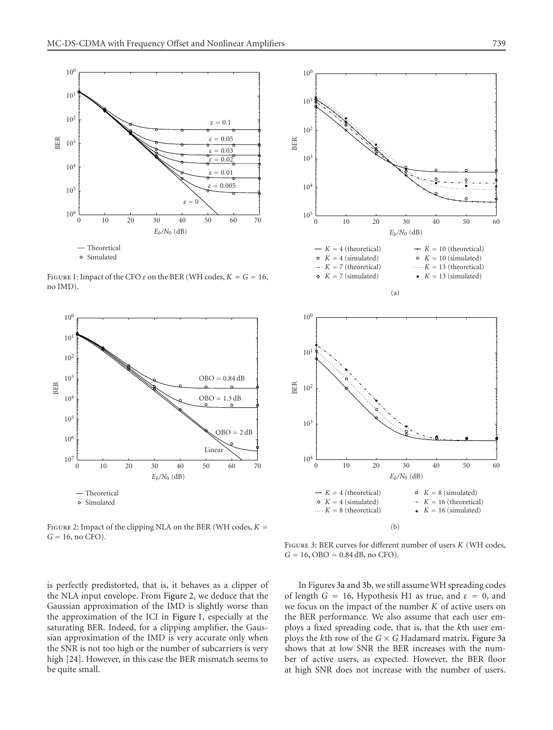

<span id="page-9-0"></span>FIGURE 1: Impact of the CFO  $\varepsilon$  on the BER (WH codes,  $K = G = 16$ , no IMD).



<span id="page-9-1"></span>FIGURE 2: Impact of the clipping NLA on the BER (WH codes,  $K =$  $G = 16$ , no CFO).

<span id="page-9-2"></span>

<span id="page-9-3"></span>

Figure 3: BER curves for different number of users *K* (WH codes,  $G = 16$ , OBO = 0.84 dB, no CFO).

is perfectly predistorted, that is, it behaves as a clipper of the NLA input envelope. From [Figure 2,](#page-9-1) we deduce that the Gaussian approximation of the IMD is slightly worse than the approximation of the ICI in [Figure 1,](#page-9-0) especially at the saturating BER. Indeed, for a clipping amplifier, the Gaussian approximation of the IMD is very accurate only when the SNR is not too high or the number of subcarriers is very high [\[24\]](#page-12-16). However, in this case the BER mismatch seems to be quite small.

In Figures [3a](#page-9-2) and [3b,](#page-9-3) we still assume WH spreading codes of length  $G = 16$ , Hypothesis H1 as true, and  $\varepsilon = 0$ , and we focus on the impact of the number *K* of active users on the BER performance. We also assume that each user employs a fixed spreading code, that is, that the *k*th user employs the *k*th row of the  $G \times G$  Hadamard matrix. [Figure 3a](#page-9-2) shows that at low SNR the BER increases with the number of active users, as expected. However, the BER floor at high SNR does not increase with the number of users.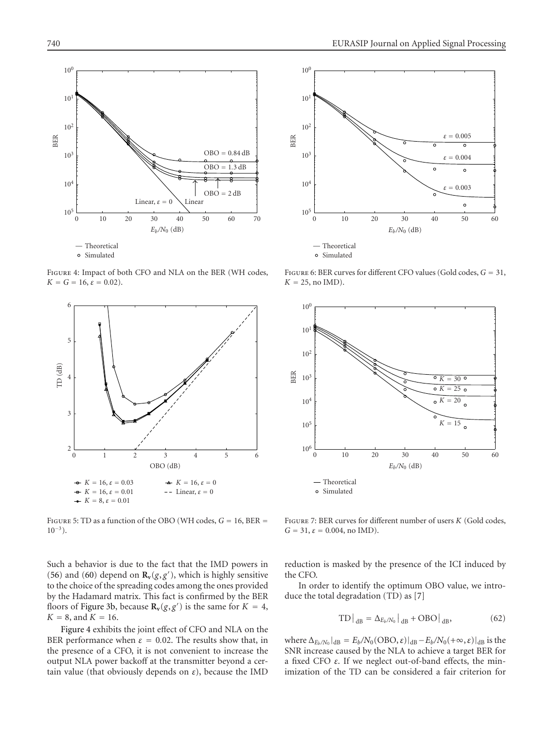

<span id="page-10-0"></span>Figure 4: Impact of both CFO and NLA on the BER (WH codes,  $K = G = 16$ ,  $\varepsilon = 0.02$ ).



<span id="page-10-1"></span>FIGURE 5: TD as a function of the OBO (WH codes,  $G = 16$ , BER  $=$  $10^{-3}$ ).

Such a behavior is due to the fact that the IMD powers in [\(56\)](#page-8-2) and [\(60\)](#page-8-4) depend on  $\mathbf{R}_{\mathbf{v}}(g, g')$ , which is highly sensitive to the choice of the spreading codes among the ones provided by the Hadamard matrix. This fact is confirmed by the BER floors of [Figure 3b,](#page-9-3) because  $\mathbf{R}_v(g, g')$  is the same for  $K = 4$ ,  $K = 8$ , and  $K = 16$ .

[Figure 4](#page-10-0) exhibits the joint effect of CFO and NLA on the BER performance when  $\varepsilon = 0.02$ . The results show that, in the presence of a CFO, it is not convenient to increase the output NLA power backoff at the transmitter beyond a certain value (that obviously depends on *ε*), because the IMD



<span id="page-10-2"></span>Figure 6: BER curves for different CFO values (Gold codes, *G* = 31,  $K = 25$ , no IMD).



<span id="page-10-3"></span>Figure 7: BER curves for different number of users *K* (Gold codes,  $G = 31$ ,  $\varepsilon = 0.004$ , no IMD).

reduction is masked by the presence of the ICI induced by the CFO.

In order to identify the optimum OBO value, we introduce the total degradation (TD) as [\[7\]](#page-11-6)

$$
\text{TD}\big|_{\text{dB}} = \Delta_{E_b/N_0}\big|_{\text{dB}} + \text{OBO}\big|_{\text{dB}},\tag{62}
$$

where  $\Delta_{E_b/N_0}|_{dB} = E_b/N_0(\text{OBO}, \varepsilon)|_{dB} - E_b/N_0(+\infty, \varepsilon)|_{dB}$  is the SNR increase caused by the NLA to achieve a target BER for a fixed CFO *ε*. If we neglect out-of-band effects, the minimization of the TD can be considered a fair criterion for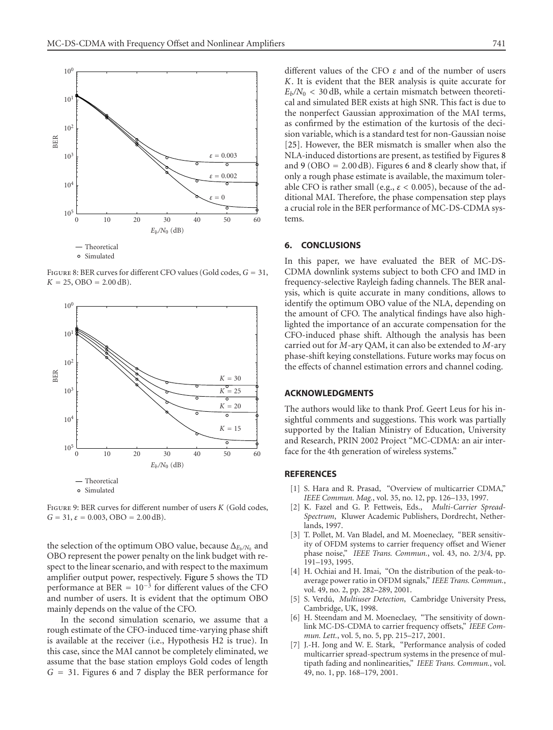

Figure 8: BER curves for different CFO values (Gold codes, *G* = 31,  $K = 25$ , OBO = 2.00 dB).

<span id="page-11-8"></span>

<span id="page-11-9"></span>Figure 9: BER curves for different number of users *K* (Gold codes,  $G = 31$ ,  $\varepsilon = 0.003$ , OBO = 2.00 dB).

the selection of the optimum OBO value, because Δ<sub>*Eb/N*0</sub> and OBO represent the power penalty on the link budget with respect to the linear scenario, and with respect to the maximum amplifier output power, respectively. [Figure 5](#page-10-1) shows the TD performance at BER =  $10^{-3}$  for different values of the CFO and number of users. It is evident that the optimum OBO mainly depends on the value of the CFO.

In the second simulation scenario, we assume that a rough estimate of the CFO-induced time-varying phase shift is available at the receiver (i.e., Hypothesis H2 is true). In this case, since the MAI cannot be completely eliminated, we assume that the base station employs Gold codes of length *G* = 31. Figures [6](#page-10-2) and [7](#page-10-3) display the BER performance for different values of the CFO *ε* and of the number of users *K*. It is evident that the BER analysis is quite accurate for  $E_b/N_0$  < 30 dB, while a certain mismatch between theoretical and simulated BER exists at high SNR. This fact is due to the nonperfect Gaussian approximation of the MAI terms, as confirmed by the estimation of the kurtosis of the decision variable, which is a standard test for non-Gaussian noise [\[25](#page-12-17)]. However, the BER mismatch is smaller when also the NLA-induced distortions are present, as testified by Figures [8](#page-11-8) and [9](#page-11-9) (OBO = 2*.*00 dB). Figures [6](#page-10-2) and [8](#page-11-8) clearly show that, if only a rough phase estimate is available, the maximum tolerable CFO is rather small (e.g., *ε <* 0*.*005), because of the additional MAI. Therefore, the phase compensation step plays a crucial role in the BER performance of MC-DS-CDMA systems.

#### <span id="page-11-7"></span>**6. CONCLUSIONS**

In this paper, we have evaluated the BER of MC-DS-CDMA downlink systems subject to both CFO and IMD in frequency-selective Rayleigh fading channels. The BER analysis, which is quite accurate in many conditions, allows to identify the optimum OBO value of the NLA, depending on the amount of CFO. The analytical findings have also highlighted the importance of an accurate compensation for the CFO-induced phase shift. Although the analysis has been carried out for *M*-ary QAM, it can also be extended to *M*-ary phase-shift keying constellations. Future works may focus on the effects of channel estimation errors and channel coding.

# **ACKNOWLEDGMENTS**

The authors would like to thank Prof. Geert Leus for his insightful comments and suggestions. This work was partially supported by the Italian Ministry of Education, University and Research, PRIN 2002 Project "MC-CDMA: an air interface for the 4th generation of wireless systems."

#### <span id="page-11-0"></span>**REFERENCES**

- [1] S. Hara and R. Prasad, "Overview of multicarrier CDMA," *IEEE Commun. Mag.*, vol. 35, no. 12, pp. 126–133, 1997.
- <span id="page-11-1"></span>[2] K. Fazel and G. P. Fettweis, Eds., *Multi-Carrier Spread-Spectrum*, Kluwer Academic Publishers, Dordrecht, Netherlands, 1997.
- <span id="page-11-2"></span>[3] T. Pollet, M. Van Bladel, and M. Moeneclaey, "BER sensitivity of OFDM systems to carrier frequency offset and Wiener phase noise," *IEEE Trans. Commun.*, vol. 43, no. 2/3/4, pp. 191–193, 1995.
- <span id="page-11-3"></span>[4] H. Ochiai and H. Imai, "On the distribution of the peak-toaverage power ratio in OFDM signals," *IEEE Trans. Commun.*, vol. 49, no. 2, pp. 282–289, 2001.
- <span id="page-11-4"></span>[5] S. Verdú, *Multiuser Detection*, Cambridge University Press, Cambridge, UK, 1998.
- <span id="page-11-5"></span>[6] H. Steendam and M. Moeneclaey, "The sensitivity of downlink MC-DS-CDMA to carrier frequency offsets," *IEEE Commun. Lett.*, vol. 5, no. 5, pp. 215–217, 2001.
- <span id="page-11-6"></span>[7] J.-H. Jong and W. E. Stark, "Performance analysis of coded multicarrier spread-spectrum systems in the presence of multipath fading and nonlinearities," *IEEE Trans. Commun.*, vol. 49, no. 1, pp. 168–179, 2001.